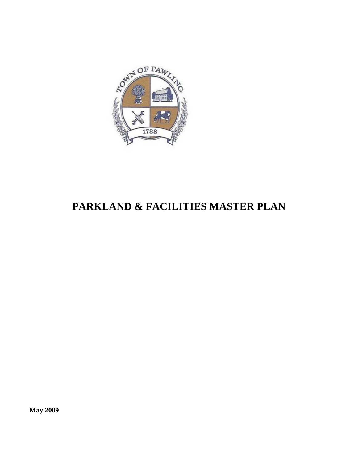

# **PARKLAND & FACILITIES MASTER PLAN**

**May 2009**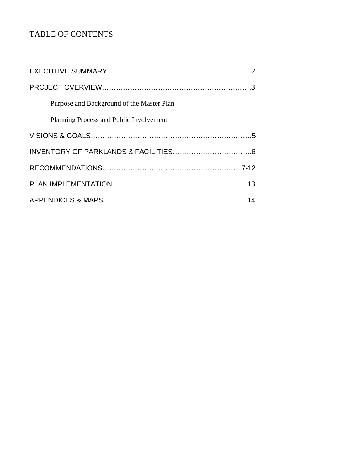# TABLE OF CONTENTS

| Purpose and Background of the Master Plan |
|-------------------------------------------|
| Planning Process and Public Involvement   |
|                                           |
|                                           |
|                                           |
|                                           |
|                                           |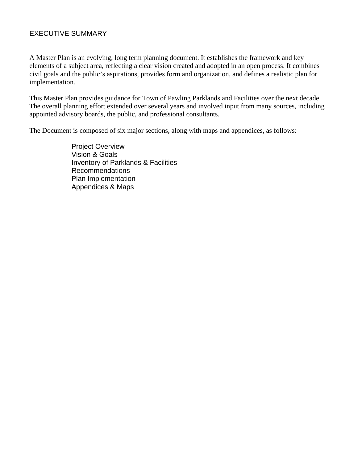# EXECUTIVE SUMMARY

A Master Plan is an evolving, long term planning document. It establishes the framework and key elements of a subject area, reflecting a clear vision created and adopted in an open process. It combines civil goals and the public's aspirations, provides form and organization, and defines a realistic plan for implementation.

This Master Plan provides guidance for Town of Pawling Parklands and Facilities over the next decade. The overall planning effort extended over several years and involved input from many sources, including appointed advisory boards, the public, and professional consultants.

The Document is composed of six major sections, along with maps and appendices, as follows:

 Project Overview **Vision & Goals**  Inventory of Parklands & Facilities Recommendations Plan Implementation Appendices & Maps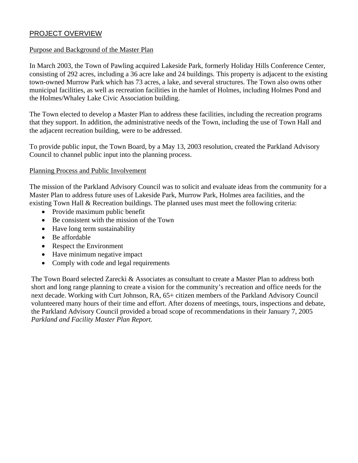# PROJECT OVERVIEW

#### Purpose and Background of the Master Plan

In March 2003, the Town of Pawling acquired Lakeside Park, formerly Holiday Hills Conference Center, consisting of 292 acres, including a 36 acre lake and 24 buildings. This property is adjacent to the existing town-owned Murrow Park which has 73 acres, a lake, and several structures. The Town also owns other municipal facilities, as well as recreation facilities in the hamlet of Holmes, including Holmes Pond and the Holmes/Whaley Lake Civic Association building.

The Town elected to develop a Master Plan to address these facilities, including the recreation programs that they support. In addition, the administrative needs of the Town, including the use of Town Hall and the adjacent recreation building, were to be addressed.

To provide public input, the Town Board, by a May 13, 2003 resolution, created the Parkland Advisory Council to channel public input into the planning process.

#### Planning Process and Public Involvement

The mission of the Parkland Advisory Council was to solicit and evaluate ideas from the community for a Master Plan to address future uses of Lakeside Park, Murrow Park, Holmes area facilities, and the existing Town Hall & Recreation buildings. The planned uses must meet the following criteria:

- Provide maximum public benefit
- Be consistent with the mission of the Town
- Have long term sustainability
- Be affordable
- Respect the Environment
- Have minimum negative impact
- Comply with code and legal requirements

The Town Board selected Zarecki & Associates as consultant to create a Master Plan to address both short and long range planning to create a vision for the community's recreation and office needs for the next decade. Working with Curt Johnson, RA, 65+ citizen members of the Parkland Advisory Council volunteered many hours of their time and effort. After dozens of meetings, tours, inspections and debate, the Parkland Advisory Council provided a broad scope of recommendations in their January 7, 2005 *Parkland and Facility Master Plan Report.*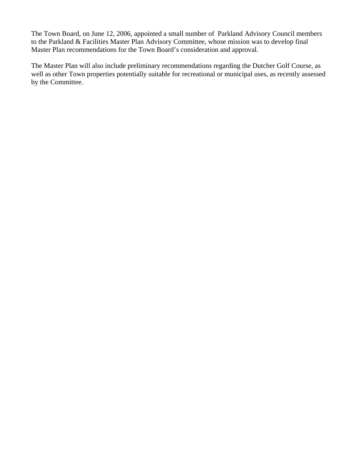The Town Board, on June 12, 2006, appointed a small number of Parkland Advisory Council members to the Parkland & Facilities Master Plan Advisory Committee, whose mission was to develop final Master Plan recommendations for the Town Board's consideration and approval.

The Master Plan will also include preliminary recommendations regarding the Dutcher Golf Course, as well as other Town properties potentially suitable for recreational or municipal uses, as recently assessed by the Committee.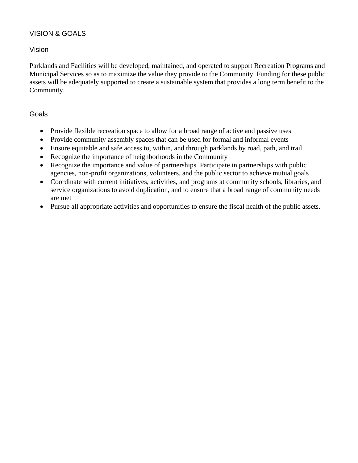# VISION & GOALS

## Vision

Parklands and Facilities will be developed, maintained, and operated to support Recreation Programs and Municipal Services so as to maximize the value they provide to the Community. Funding for these public assets will be adequately supported to create a sustainable system that provides a long term benefit to the Community.

#### Goals

- Provide flexible recreation space to allow for a broad range of active and passive uses
- Provide community assembly spaces that can be used for formal and informal events
- Ensure equitable and safe access to, within, and through parklands by road, path, and trail
- Recognize the importance of neighborhoods in the Community
- Recognize the importance and value of partnerships. Participate in partnerships with public agencies, non-profit organizations, volunteers, and the public sector to achieve mutual goals
- Coordinate with current initiatives, activities, and programs at community schools, libraries, and service organizations to avoid duplication, and to ensure that a broad range of community needs are met
- Pursue all appropriate activities and opportunities to ensure the fiscal health of the public assets.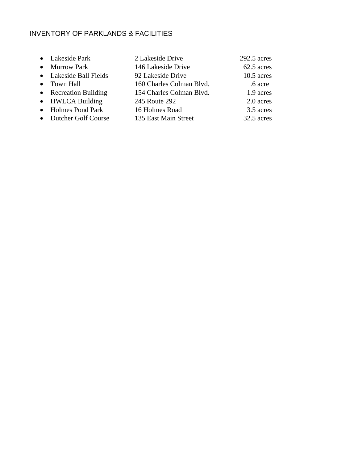# INVENTORY OF PARKLANDS & FACILITIES

| • Lakeside Park        | 2 Lakeside Drive         | $292.5$ acres |
|------------------------|--------------------------|---------------|
| • Murrow Park          | 146 Lakeside Drive       | 62.5 acres    |
| • Lakeside Ball Fields | 92 Lakeside Drive        | $10.5$ acres  |
| • Town Hall            | 160 Charles Colman Blvd. | .6 acre       |
| • Recreation Building  | 154 Charles Colman Blvd. | 1.9 acres     |
| • HWLCA Building       | 245 Route 292            | 2.0 acres     |
| • Holmes Pond Park     | 16 Holmes Road           | 3.5 acres     |
| • Dutcher Golf Course  | 135 East Main Street     | 32.5 acres    |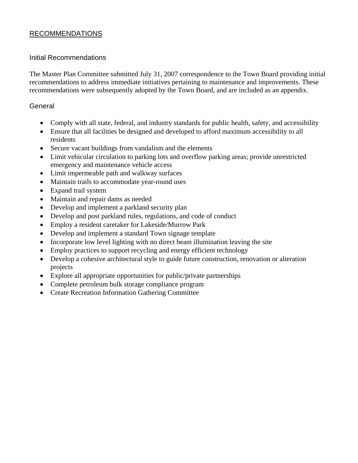# RECOMMENDATIONS

## Initial Recommendations

The Master Plan Committee submitted July 31, 2007 correspondence to the Town Board providing initial recommendations to address immediate initiatives pertaining to maintenance and improvements. These recommendations were subsequently adopted by the Town Board, and are included as an appendix.

# **General**

- Comply with all state, federal, and industry standards for public health, safety, and accessibility
- Ensure that all facilities be designed and developed to afford maximum accessibility to all residents
- Secure vacant buildings from vandalism and the elements
- Limit vehicular circulation to parking lots and overflow parking areas; provide unrestricted emergency and maintenance vehicle access
- Limit impermeable path and walkway surfaces
- Maintain trails to accommodate year-round uses
- Expand trail system
- Maintain and repair dams as needed
- Develop and implement a parkland security plan
- Develop and post parkland rules, regulations, and code of conduct
- Employ a resident caretaker for Lakeside/Murrow Park
- Develop and implement a standard Town signage template
- Incorporate low level lighting with no direct beam illumination leaving the site
- Employ practices to support recycling and energy efficient technology
- Develop a cohesive architectural style to guide future construction, renovation or alteration projects
- Explore all appropriate opportunities for public/private partnerships
- Complete petroleum bulk storage compliance program
- Create Recreation Information Gathering Committee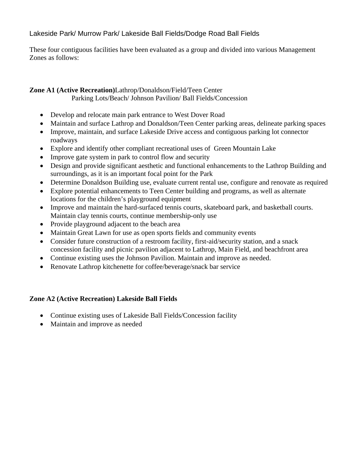# Lakeside Park/ Murrow Park/ Lakeside Ball Fields/Dodge Road Ball Fields

These four contiguous facilities have been evaluated as a group and divided into various Management Zones as follows:

# **Zone A1 (Active Recreation)**Lathrop/Donaldson/Field/Teen Center Parking Lots/Beach/ Johnson Pavilion/ Ball Fields/Concession

- Develop and relocate main park entrance to West Dover Road
- Maintain and surface Lathrop and Donaldson/Teen Center parking areas, delineate parking spaces
- Improve, maintain, and surface Lakeside Drive access and contiguous parking lot connector roadways
- Explore and identify other compliant recreational uses of Green Mountain Lake
- Improve gate system in park to control flow and security
- Design and provide significant aesthetic and functional enhancements to the Lathrop Building and surroundings, as it is an important focal point for the Park
- Determine Donaldson Building use, evaluate current rental use, configure and renovate as required
- Explore potential enhancements to Teen Center building and programs, as well as alternate locations for the children's playground equipment
- Improve and maintain the hard-surfaced tennis courts, skateboard park, and basketball courts. Maintain clay tennis courts, continue membership-only use
- Provide playground adjacent to the beach area
- Maintain Great Lawn for use as open sports fields and community events
- Consider future construction of a restroom facility, first-aid/security station, and a snack concession facility and picnic pavilion adjacent to Lathrop, Main Field, and beachfront area
- Continue existing uses the Johnson Pavilion. Maintain and improve as needed.
- Renovate Lathrop kitchenette for coffee/beverage/snack bar service

# **Zone A2 (Active Recreation) Lakeside Ball Fields**

- Continue existing uses of Lakeside Ball Fields/Concession facility
- Maintain and improve as needed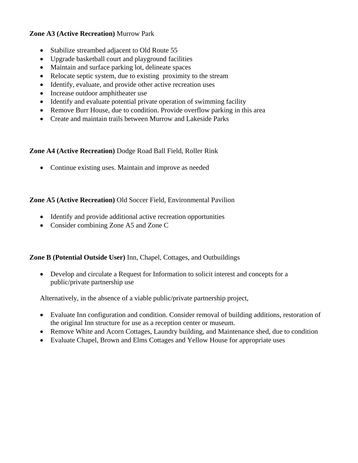# **Zone A3 (Active Recreation)** Murrow Park

- Stabilize streambed adjacent to Old Route 55
- Upgrade basketball court and playground facilities
- Maintain and surface parking lot, delineate spaces
- Relocate septic system, due to existing proximity to the stream
- Identify, evaluate, and provide other active recreation uses
- Increase outdoor amphitheater use
- Identify and evaluate potential private operation of swimming facility
- Remove Burr House, due to condition. Provide overflow parking in this area
- Create and maintain trails between Murrow and Lakeside Parks

## **Zone A4 (Active Recreation)** Dodge Road Ball Field, Roller Rink

• Continue existing uses. Maintain and improve as needed

# **Zone A5 (Active Recreation)** Old Soccer Field, Environmental Pavilion

- Identify and provide additional active recreation opportunities
- Consider combining Zone A5 and Zone C

## **Zone B (Potential Outside User)** Inn, Chapel, Cottages, and Outbuildings

• Develop and circulate a Request for Information to solicit interest and concepts for a public/private partnership use

Alternatively, in the absence of a viable public/private partnership project,

- Evaluate Inn configuration and condition. Consider removal of building additions, restoration of the original Inn structure for use as a reception center or museum.
- Remove White and Acorn Cottages, Laundry building, and Maintenance shed, due to condition
- Evaluate Chapel, Brown and Elms Cottages and Yellow House for appropriate uses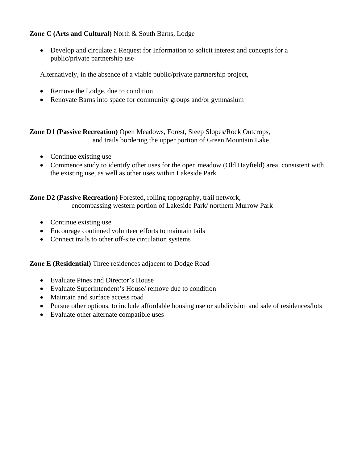# **Zone C (Arts and Cultural)** North & South Barns, Lodge

• Develop and circulate a Request for Information to solicit interest and concepts for a public/private partnership use

Alternatively, in the absence of a viable public/private partnership project,

- Remove the Lodge, due to condition
- Renovate Barns into space for community groups and/or gymnasium

**Zone D1 (Passive Recreation)** Open Meadows, Forest, Steep Slopes/Rock Outcrops, and trails bordering the upper portion of Green Mountain Lake

- Continue existing use
- Commence study to identify other uses for the open meadow (Old Hayfield) area, consistent with the existing use, as well as other uses within Lakeside Park

# **Zone D2 (Passive Recreation)** Forested, rolling topography, trail network, encompassing western portion of Lakeside Park/ northern Murrow Park

- Continue existing use
- Encourage continued volunteer efforts to maintain tails
- Connect trails to other off-site circulation systems

**Zone E (Residential)** Three residences adjacent to Dodge Road

- Evaluate Pines and Director's House
- Evaluate Superintendent's House/ remove due to condition
- Maintain and surface access road
- Pursue other options, to include affordable housing use or subdivision and sale of residences/lots
- Evaluate other alternate compatible uses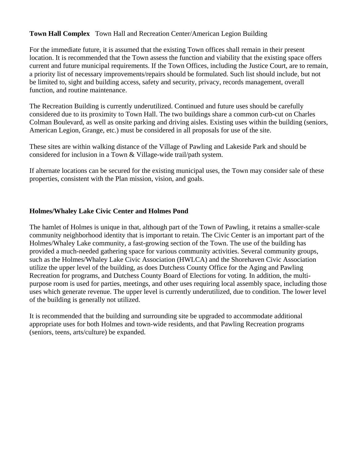## **Town Hall Complex** Town Hall and Recreation Center/American Legion Building

For the immediate future, it is assumed that the existing Town offices shall remain in their present location. It is recommended that the Town assess the function and viability that the existing space offers current and future municipal requirements. If the Town Offices, including the Justice Court, are to remain, a priority list of necessary improvements/repairs should be formulated. Such list should include, but not be limited to, sight and building access, safety and security, privacy, records management, overall function, and routine maintenance.

The Recreation Building is currently underutilized. Continued and future uses should be carefully considered due to its proximity to Town Hall. The two buildings share a common curb-cut on Charles Colman Boulevard, as well as onsite parking and driving aisles. Existing uses within the building (seniors, American Legion, Grange, etc.) must be considered in all proposals for use of the site.

These sites are within walking distance of the Village of Pawling and Lakeside Park and should be considered for inclusion in a Town & Village-wide trail/path system.

If alternate locations can be secured for the existing municipal uses, the Town may consider sale of these properties, consistent with the Plan mission, vision, and goals.

#### **Holmes/Whaley Lake Civic Center and Holmes Pond**

The hamlet of Holmes is unique in that, although part of the Town of Pawling, it retains a smaller-scale community neighborhood identity that is important to retain. The Civic Center is an important part of the Holmes/Whaley Lake community, a fast-growing section of the Town. The use of the building has provided a much-needed gathering space for various community activities. Several community groups, such as the Holmes/Whaley Lake Civic Association (HWLCA) and the Shorehaven Civic Association utilize the upper level of the building, as does Dutchess County Office for the Aging and Pawling Recreation for programs, and Dutchess County Board of Elections for voting. In addition, the multipurpose room is used for parties, meetings, and other uses requiring local assembly space, including those uses which generate revenue. The upper level is currently underutilized, due to condition. The lower level of the building is generally not utilized.

It is recommended that the building and surrounding site be upgraded to accommodate additional appropriate uses for both Holmes and town-wide residents, and that Pawling Recreation programs (seniors, teens, arts/culture) be expanded.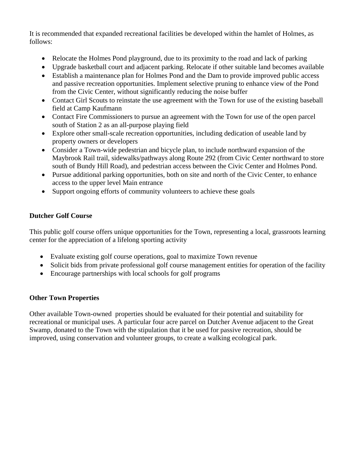It is recommended that expanded recreational facilities be developed within the hamlet of Holmes, as follows:

- Relocate the Holmes Pond playground, due to its proximity to the road and lack of parking
- Upgrade basketball court and adjacent parking. Relocate if other suitable land becomes available
- Establish a maintenance plan for Holmes Pond and the Dam to provide improved public access and passive recreation opportunities. Implement selective pruning to enhance view of the Pond from the Civic Center, without significantly reducing the noise buffer
- Contact Girl Scouts to reinstate the use agreement with the Town for use of the existing baseball field at Camp Kaufmann
- Contact Fire Commissioners to pursue an agreement with the Town for use of the open parcel south of Station 2 as an all-purpose playing field
- Explore other small-scale recreation opportunities, including dedication of useable land by property owners or developers
- Consider a Town-wide pedestrian and bicycle plan, to include northward expansion of the Maybrook Rail trail, sidewalks/pathways along Route 292 (from Civic Center northward to store south of Bundy Hill Road), and pedestrian access between the Civic Center and Holmes Pond.
- Pursue additional parking opportunities, both on site and north of the Civic Center, to enhance access to the upper level Main entrance
- Support ongoing efforts of community volunteers to achieve these goals

# **Dutcher Golf Course**

This public golf course offers unique opportunities for the Town, representing a local, grassroots learning center for the appreciation of a lifelong sporting activity

- Evaluate existing golf course operations, goal to maximize Town revenue
- Solicit bids from private professional golf course management entities for operation of the facility
- Encourage partnerships with local schools for golf programs

## **Other Town Properties**

Other available Town-owned properties should be evaluated for their potential and suitability for recreational or municipal uses. A particular four acre parcel on Dutcher Avenue adjacent to the Great Swamp, donated to the Town with the stipulation that it be used for passive recreation, should be improved, using conservation and volunteer groups, to create a walking ecological park.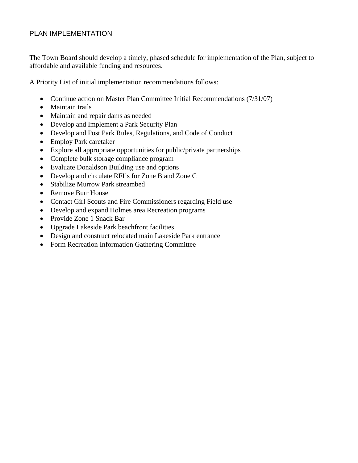# PLAN IMPLEMENTATION

The Town Board should develop a timely, phased schedule for implementation of the Plan, subject to affordable and available funding and resources.

A Priority List of initial implementation recommendations follows:

- Continue action on Master Plan Committee Initial Recommendations (7/31/07)
- Maintain trails
- Maintain and repair dams as needed
- Develop and Implement a Park Security Plan
- Develop and Post Park Rules, Regulations, and Code of Conduct
- Employ Park caretaker
- Explore all appropriate opportunities for public/private partnerships
- Complete bulk storage compliance program
- Evaluate Donaldson Building use and options
- Develop and circulate RFI's for Zone B and Zone C
- Stabilize Murrow Park streambed
- Remove Burr House
- Contact Girl Scouts and Fire Commissioners regarding Field use
- Develop and expand Holmes area Recreation programs
- Provide Zone 1 Snack Bar
- Upgrade Lakeside Park beachfront facilities
- Design and construct relocated main Lakeside Park entrance
- Form Recreation Information Gathering Committee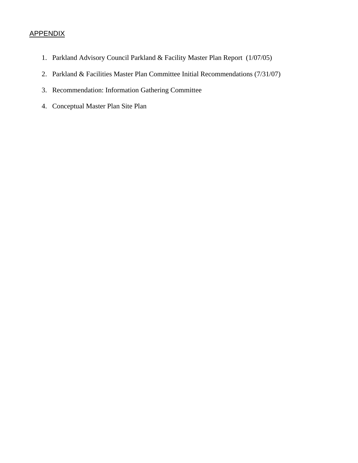# **APPENDIX**

- 1. Parkland Advisory Council Parkland & Facility Master Plan Report (1/07/05)
- 2. Parkland & Facilities Master Plan Committee Initial Recommendations (7/31/07)
- 3. Recommendation: Information Gathering Committee
- 4. Conceptual Master Plan Site Plan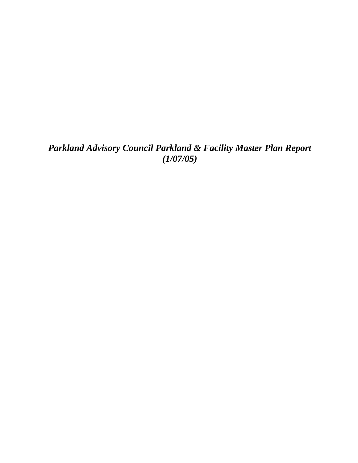*Parkland Advisory Council Parkland & Facility Master Plan Report (1/07/05)*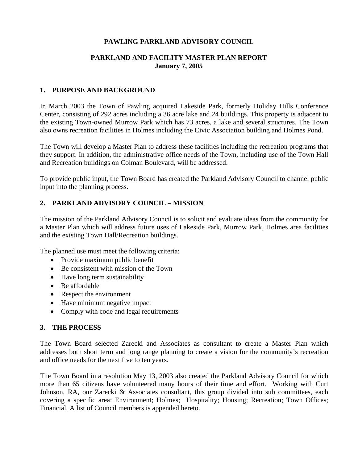# **PAWLING PARKLAND ADVISORY COUNCIL**

## **PARKLAND AND FACILITY MASTER PLAN REPORT January 7, 2005**

#### **1. PURPOSE AND BACKGROUND**

In March 2003 the Town of Pawling acquired Lakeside Park, formerly Holiday Hills Conference Center, consisting of 292 acres including a 36 acre lake and 24 buildings. This property is adjacent to the existing Town-owned Murrow Park which has 73 acres, a lake and several structures. The Town also owns recreation facilities in Holmes including the Civic Association building and Holmes Pond.

The Town will develop a Master Plan to address these facilities including the recreation programs that they support. In addition, the administrative office needs of the Town, including use of the Town Hall and Recreation buildings on Colman Boulevard, will be addressed.

To provide public input, the Town Board has created the Parkland Advisory Council to channel public input into the planning process.

# **2. PARKLAND ADVISORY COUNCIL – MISSION**

The mission of the Parkland Advisory Council is to solicit and evaluate ideas from the community for a Master Plan which will address future uses of Lakeside Park, Murrow Park, Holmes area facilities and the existing Town Hall/Recreation buildings.

The planned use must meet the following criteria:

- Provide maximum public benefit
- Be consistent with mission of the Town
- Have long term sustainability
- Be affordable
- Respect the environment
- Have minimum negative impact
- Comply with code and legal requirements

## **3. THE PROCESS**

The Town Board selected Zarecki and Associates as consultant to create a Master Plan which addresses both short term and long range planning to create a vision for the community's recreation and office needs for the next five to ten years.

The Town Board in a resolution May 13, 2003 also created the Parkland Advisory Council for which more than 65 citizens have volunteered many hours of their time and effort. Working with Curt Johnson, RA, our Zarecki & Associates consultant, this group divided into sub committees, each covering a specific area: Environment; Holmes; Hospitality; Housing; Recreation; Town Offices; Financial. A list of Council members is appended hereto.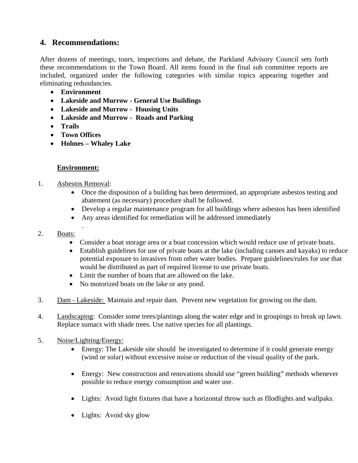# **4. Recommendations:**

After dozens of meetings, tours, inspections and debate, the Parkland Advisory Council sets forth these recommendations to the Town Board. All items found in the final sub committee reports are included, organized under the following categories with similar topics appearing together and eliminating redundancies.

- **Environment**
- **Lakeside and Murrow General Use Buildings**
- **Lakeside and Murrow Housing Units**
- **Lakeside and Murrow Roads and Parking**
- **Trails**
- **Town Offices**
- **Holmes Whaley Lake**

## **Environment:**

1. Asbestos Removal:

.

- Once the disposition of a building has been determined, an appropriate asbestos testing and abatement (as necessary) procedure shall be followed.
- Develop a regular maintenance program for all buildings where asbestos has been identified
- Any areas identified for remediation will be addressed immediately

#### 2. Boats:

- Consider a boat storage area or a boat concession which would reduce use of private boats.
- Establish guidelines for use of private boats at the lake (including canoes and kayaks) to reduce potential exposure to invasives from other water bodies. Prepare guidelines/rules for use that would be distributed as part of required license to use private boats.
- Limit the number of boats that are allowed on the lake.
- No motorized boats on the lake or any pond.
- 3. Dam Lakeside: Maintain and repair dam. Prevent new vegetation for growing on the dam.
- 4. Landscaping: Consider some trees/plantings along the water edge and in groupings to break up lawn. Replace sumacs with shade trees. Use native species for all plantings.
- 5. Noise/Lighting/Energy:
	- Energy: The Lakeside site should be investigated to determine if it could generate energy (wind or solar) without excessive noise or reduction of the visual quality of the park.
	- Energy: New construction and renovations should use "green building" methods whenever possible to reduce energy consumption and water use.
	- Lights: Avoid light fixtures that have a horizontal throw such as fllodlights and wallpaks.
	- Lights: Avoid sky glow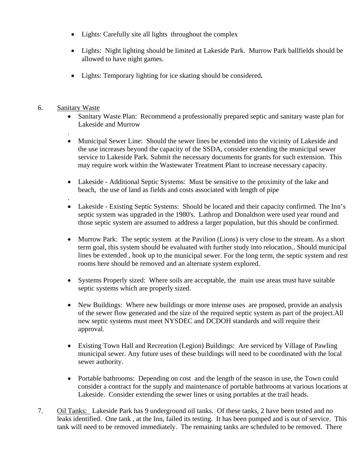- Lights: Carefully site all lights throughout the complex
- Lights: Night lighting should be limited at Lakeside Park. Murrow Park ballfields should be allowed to have night games.
- Lights: Temporary lighting for ice skating should be considered**.**
- 6. Sanitary Waste

.

- Sanitary Waste Plan: Recommend a professionally prepared septic and sanitary waste plan for Lakeside and Murrow
- Municipal Sewer Line: Should the sewer lines be extended into the vicinity of Lakeside and the use increases beyond the capacity of the SSDA, consider extending the municipal sewer service to Lakeside Park. Submit the necessary documents for grants for such extension. This may require work within the Wastewater Treatment Plant to increase necessary capacity.
- Lakeside Additional Septic Systems: Must be sensitive to the proximity of the lake and beach, the use of land as fields and costs associated with length of pipe
- . • Lakeside - Existing Septic Systems: Should be located and their capacity confirmed. The Inn's septic system was upgraded in the 1980's. Lathrop and Donaldson were used year round and those septic system are assumed to address a larger population, but this should be confirmed.
- Murrow Park: The septic system at the Pavilion (Lions) is very close to the stream. As a short term goal, this system should be evaluated with further study into relocation.. Should municipal lines be extended , hook up to the municipal sewer. For the long term, the septic system and rest rooms here should be removed and an alternate system explored.
- Systems Properly sized: Where soils are acceptable, the main use areas must have suitable septic systems which are properly sized.
- New Buildings: Where new buildings or more intense uses are proposed, provide an analysis of the sewer flow generated and the size of the required septic system as part of the project.All new septic systems must meet NYSDEC and DCDOH standards and will require their approval.
- Existing Town Hall and Recreation (Legion) Buildings: Are serviced by Village of Pawling municipal sewer. Any future uses of these buildings will need to be coordinated with the local sewer authority.
- Portable bathrooms: Depending on cost and the length of the season in use, the Town could consider a contract for the supply and maintenance of portable bathrooms at various locations at Lakeside. Consider extending the sewer lines or using portables at the trail heads.
- 7. Oil Tanks: Lakeside Park has 9 underground oil tanks. Of these tanks, 2 have been tested and no leaks identified. One tank , at the Inn, failed its testing. It has been pumped and is out of service. This tank will need to be removed immediately. The remaining tanks are scheduled to be removed. There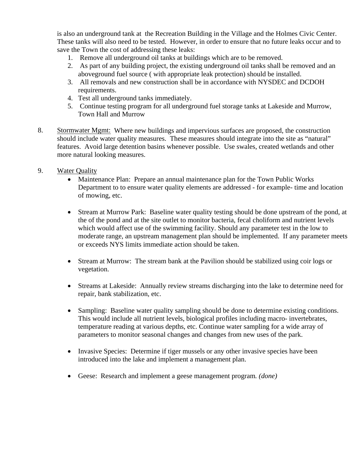is also an underground tank at the Recreation Building in the Village and the Holmes Civic Center. These tanks will also need to be tested. However, in order to ensure that no future leaks occur and to save the Town the cost of addressing these leaks:

- 1. Remove all underground oil tanks at buildings which are to be removed.
- 2. As part of any building project, the existing underground oil tanks shall be removed and an aboveground fuel source ( with appropriate leak protection) should be installed.
- 3. All removals and new construction shall be in accordance with NYSDEC and DCDOH requirements.
- 4. Test all underground tanks immediately.
- 5. Continue testing program for all underground fuel storage tanks at Lakeside and Murrow, Town Hall and Murrow
- 8. Stormwater Mgmt: Where new buildings and impervious surfaces are proposed, the construction should include water quality measures. These measures should integrate into the site as "natural" features. Avoid large detention basins whenever possible. Use swales, created wetlands and other more natural looking measures.
- 9. Water Quality
	- Maintenance Plan: Prepare an annual maintenance plan for the Town Public Works Department to to ensure water quality elements are addressed - for example- time and location of mowing, etc.
	- Stream at Murrow Park: Baseline water quality testing should be done upstream of the pond, at the of the pond and at the site outlet to monitor bacteria, fecal choliform and nutrient levels which would affect use of the swimming facility. Should any parameter test in the low to moderate range, an upstream management plan should be implemented. If any parameter meets or exceeds NYS limits immediate action should be taken.
	- Stream at Murrow: The stream bank at the Pavilion should be stabilized using coir logs or vegetation.
	- Streams at Lakeside: Annually review streams discharging into the lake to determine need for repair, bank stabilization, etc.
	- Sampling: Baseline water quality sampling should be done to determine existing conditions. This would include all nutrient levels, biological profiles including macro- invertebrates, temperature reading at various depths, etc. Continue water sampling for a wide array of parameters to monitor seasonal changes and changes from new uses of the park.
	- Invasive Species: Determine if tiger mussels or any other invasive species have been introduced into the lake and implement a management plan.
	- Geese: Research and implement a geese management program*. (done)*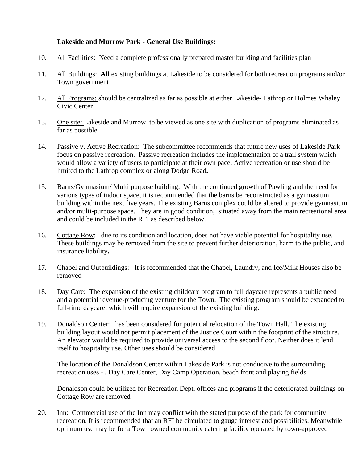# **Lakeside and Murrow Park - General Use Buildings***:*

- 10. All Facilities: Need a complete professionally prepared master building and facilities plan
- 11. All Buildings: **A**ll existing buildings at Lakeside to be considered for both recreation programs and/or Town government
- 12. All Programs: should be centralized as far as possible at either Lakeside- Lathrop or Holmes Whaley Civic Center
- 13. One site: Lakeside and Murrow to be viewed as one site with duplication of programs eliminated as far as possible
- 14. Passive v. Active Recreation: The subcommittee recommends that future new uses of Lakeside Park focus on passive recreation. Passive recreation includes the implementation of a trail system which would allow a variety of users to participate at their own pace. Active recreation or use should be limited to the Lathrop complex or along Dodge Road**.**
- 15. Barns/Gymnasium/ Multi purpose building: With the continued growth of Pawling and the need for various types of indoor space, it is recommended that the barns be reconstructed as a gymnasium building within the next five years. The existing Barns complex could be altered to provide gymnasium and/or multi-purpose space. They are in good condition, situated away from the main recreational area and could be included in the RFI as described below.
- 16. Cottage Row: due to its condition and location, does not have viable potential for hospitality use. These buildings may be removed from the site to prevent further deterioration, harm to the public, and insurance liability**.**
- 17. Chapel and Outbuildings: It is recommended that the Chapel, Laundry, and Ice/Milk Houses also be removed
- 18. Day Care: The expansion of the existing childcare program to full daycare represents a public need and a potential revenue-producing venture for the Town. The existing program should be expanded to full-time daycare, which will require expansion of the existing building.
- 19. Donaldson Center: has been considered for potential relocation of the Town Hall. The existing building layout would not permit placement of the Justice Court within the footprint of the structure. An elevator would be required to provide universal access to the second floor. Neither does it lend itself to hospitality use. Other uses should be considered

The location of the Donaldson Center within Lakeside Park is not conducive to the surrounding recreation uses - . Day Care Center, Day Camp Operation, beach front and playing fields.

Donaldson could be utilized for Recreation Dept. offices and programs if the deteriorated buildings on Cottage Row are removed

20. Inn: Commercial use of the Inn may conflict with the stated purpose of the park for community recreation. It is recommended that an RFI be circulated to gauge interest and possibilities. Meanwhile optimum use may be for a Town owned community catering facility operated by town-approved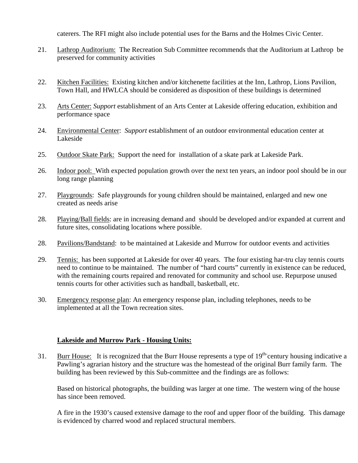caterers. The RFI might also include potential uses for the Barns and the Holmes Civic Center.

- 21. Lathrop Auditorium: The Recreation Sub Committee recommends that the Auditorium at Lathrop be preserved for community activities
- 22. Kitchen Facilities: Existing kitchen and/or kitchenette facilities at the Inn, Lathrop, Lions Pavilion, Town Hall, and HWLCA should be considered as disposition of these buildings is determined
- 23. Arts Center: *Support* establishment of an Arts Center at Lakeside offering education, exhibition and performance space
- 24. Environmental Center: *Support* establishment of an outdoor environmental education center at Lakeside
- 25. Outdoor Skate Park: Support the need for installation of a skate park at Lakeside Park.
- 26. Indoor pool: With expected population growth over the next ten years, an indoor pool should be in our long range planning
- 27. Playgrounds: Safe playgrounds for young children should be maintained, enlarged and new one created as needs arise
- 28. Playing/Ball fields: are in increasing demand and should be developed and/or expanded at current and future sites, consolidating locations where possible.
- 28. Pavilions/Bandstand: to be maintained at Lakeside and Murrow for outdoor events and activities
- 29. Tennis: has been supported at Lakeside for over 40 years. The four existing har-tru clay tennis courts need to continue to be maintained. The number of "hard courts" currently in existence can be reduced, with the remaining courts repaired and renovated for community and school use. Repurpose unused tennis courts for other activities such as handball, basketball, etc.
- 30. Emergency response plan: An emergency response plan, including telephones, needs to be implemented at all the Town recreation sites.

#### **Lakeside and Murrow Park - Housing Units:**

31. Burr House: It is recognized that the Burr House represents a type of 19<sup>th-</sup>century housing indicative a Pawling's agrarian history and the structure was the homestead of the original Burr family farm. The building has been reviewed by this Sub-committee and the findings are as follows:

Based on historical photographs, the building was larger at one time. The western wing of the house has since been removed.

A fire in the 1930's caused extensive damage to the roof and upper floor of the building. This damage is evidenced by charred wood and replaced structural members.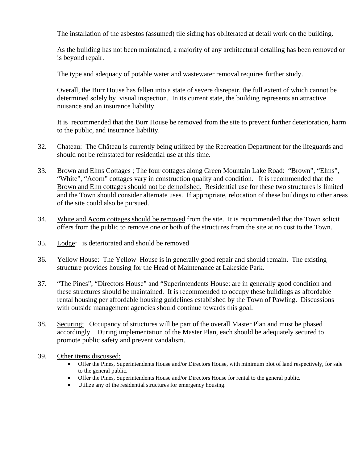The installation of the asbestos (assumed) tile siding has obliterated at detail work on the building.

As the building has not been maintained, a majority of any architectural detailing has been removed or is beyond repair.

The type and adequacy of potable water and wastewater removal requires further study.

Overall, the Burr House has fallen into a state of severe disrepair, the full extent of which cannot be determined solely by visual inspection. In its current state, the building represents an attractive nuisance and an insurance liability.

It is recommended that the Burr House be removed from the site to prevent further deterioration, harm to the public, and insurance liability.

- 32. Chateau:The Château is currently being utilized by the Recreation Department for the lifeguards and should not be reinstated for residential use at this time.
- 33. Brown and Elms Cottages ; The four cottages along Green Mountain Lake Road: "Brown", "Elms", "White", "Acorn" cottages vary in construction quality and condition. It is recommended that the Brown and Elm cottages should not be demolished. Residential use for these two structures is limited and the Town should consider alternate uses. If appropriate, relocation of these buildings to other areas of the site could also be pursued.
- 34. White and Acorn cottages should be removed from the site. It is recommended that the Town solicit offers from the public to remove one or both of the structures from the site at no cost to the Town.
- 35. Lodge: is deteriorated and should be removed
- 36. Yellow House:The Yellow House is in generally good repair and should remain. The existing structure provides housing for the Head of Maintenance at Lakeside Park.
- 37. "The Pines", "Directors House" and "Superintendents House: are in generally good condition and these structures should be maintained. It is recommended to occupy these buildings as affordable rental housing per affordable housing guidelines established by the Town of Pawling. Discussions with outside management agencies should continue towards this goal.
- 38. Securing: Occupancy of structures will be part of the overall Master Plan and must be phased accordingly. During implementation of the Master Plan, each should be adequately secured to promote public safety and prevent vandalism.
- 39. Other items discussed:
	- Offer the Pines, Superintendents House and/or Directors House, with minimum plot of land respectively, for sale to the general public.
	- Offer the Pines, Superintendents House and/or Directors House for rental to the general public.
	- Utilize any of the residential structures for emergency housing.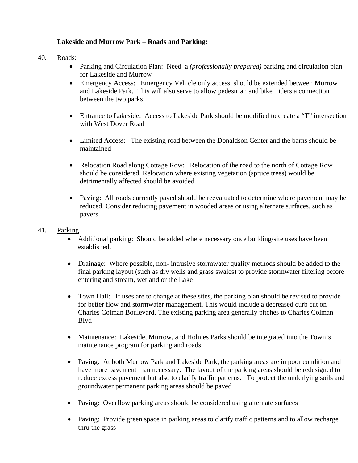# **Lakeside and Murrow Park – Roads and Parking:**

- 40. Roads:
	- Parking and Circulation Plan: Need a *(professionally prepared)* parking and circulation plan for Lakeside and Murrow
	- Emergency Access: Emergency Vehicle only access should be extended between Murrow and Lakeside Park. This will also serve to allow pedestrian and bike riders a connection between the two parks
	- Entrance to Lakeside: Access to Lakeside Park should be modified to create a "T" intersection with West Dover Road
	- Limited Access: The existing road between the Donaldson Center and the barns should be maintained
	- Relocation Road along Cottage Row: Relocation of the road to the north of Cottage Row should be considered. Relocation where existing vegetation (spruce trees) would be detrimentally affected should be avoided
	- Paving: All roads currently paved should be reevaluated to determine where pavement may be reduced. Consider reducing pavement in wooded areas or using alternate surfaces, such as pavers.
- 41. Parking
	- Additional parking: Should be added where necessary once building/site uses have been established.
	- Drainage: Where possible, non- intrusive stormwater quality methods should be added to the final parking layout (such as dry wells and grass swales) to provide stormwater filtering before entering and stream, wetland or the Lake
	- Town Hall: If uses are to change at these sites, the parking plan should be revised to provide for better flow and stormwater management. This would include a decreased curb cut on Charles Colman Boulevard. The existing parking area generally pitches to Charles Colman Blvd
	- Maintenance: Lakeside, Murrow, and Holmes Parks should be integrated into the Town's maintenance program for parking and roads
	- Paving: At both Murrow Park and Lakeside Park, the parking areas are in poor condition and have more pavement than necessary. The layout of the parking areas should be redesigned to reduce excess pavement but also to clarify traffic patterns. To protect the underlying soils and groundwater permanent parking areas should be paved
	- Paving: Overflow parking areas should be considered using alternate surfaces
	- Paving: Provide green space in parking areas to clarify traffic patterns and to allow recharge thru the grass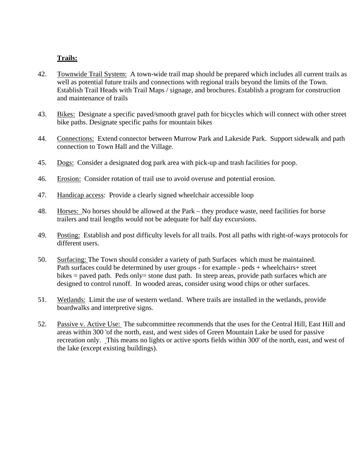## **Trails:**

- 42. Townwide Trail System: A town-wide trail map should be prepared which includes all current trails as well as potential future trails and connections with regional trails beyond the limits of the Town. Establish Trail Heads with Trail Maps / signage, and brochures. Establish a program for construction and maintenance of trails
- 43. Bikes: Designate a specific paved/smooth gravel path for bicycles which will connect with other street bike paths. Designate specific paths for mountain bikes
- 44. Connections: Extend connector between Murrow Park and Lakeside Park. Support sidewalk and path connection to Town Hall and the Village.
- 45. Dogs: Consider a designated dog park area with pick-up and trash facilities for poop.
- 46. Erosion: Consider rotation of trail use to avoid overuse and potential erosion.
- 47. Handicap access: Provide a clearly signed wheelchair accessible loop
- 48. Horses: No horses should be allowed at the Park they produce waste, need facilities for horse trailers and trail lengths would not be adequate for half day excursions.
- 49. Posting: Establish and post difficulty levels for all trails. Post all paths with right-of-ways protocols for different users.
- 50. Surfacing: The Town should consider a variety of path Surfaces which must be maintained. Path surfaces could be determined by user groups - for example - peds + wheelchairs+ street bikes  $=$  paved path. Peds only $=$  stone dust path. In steep areas, provide path surfaces which are designed to control runoff. In wooded areas, consider using wood chips or other surfaces.
- 51. Wetlands: Limit the use of western wetland. Where trails are installed in the wetlands, provide boardwalks and interpretive signs.
- 52. Passive v. Active Use: The subcommittee recommends that the uses for the Central Hill, East Hill and areas within 300 'of the north, east, and west sides of Green Mountain Lake be used for passive recreation only. This means no lights or active sports fields within 300' of the north, east, and west of the lake (except existing buildings).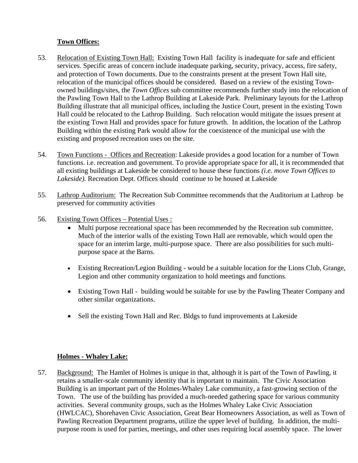# **Town Offices:**

- 53. Relocation of Existing Town Hall: Existing Town Hall facility is inadequate for safe and efficient services. Specific areas of concern include inadequate parking, security, privacy, access, fire safety, and protection of Town documents. Due to the constraints present at the present Town Hall site, relocation of the municipal offices should be considered. Based on a review of the existing Townowned buildings/sites, the *Town Offices* sub committee recommends further study into the relocation of the Pawling Town Hall to the Lathrop Building at Lakeside Park. Preliminary layouts for the Lathrop Building illustrate that all municipal offices, including the Justice Court, present in the existing Town Hall could be relocated to the Lathrop Building. Such relocation would mitigate the issues present at the existing Town Hall and provides space for future growth. In addition, the location of the Lathrop Building within the existing Park would allow for the coexistence of the municipal use with the existing and proposed recreation uses on the site.
- 54. Town Functions Offices and Recreation: Lakeside provides a good location for a number of Town functions. i.e. recreation and government. To provide appropriate space for all, it is recommended that all existing buildings at Lakeside be considered to house these functions *(i.e. move Town Offices to Lakeside).* Recreation Dept. Offices should continue to be housed at Lakeside
- 55. Lathrop Auditorium: The Recreation Sub Committee recommends that the Auditorium at Lathrop be preserved for community activities
- 56. Existing Town Offices Potential Uses :
	- Multi purpose recreational space has been recommended by the Recreation sub committee. Much of the interior walls of the existing Town Hall are removable, which would open the space for an interim large, multi-purpose space. There are also possibilities for such multipurpose space at the Barns.
	- Existing Recreation/Legion Building would be a suitable location for the Lions Club, Grange, Legion and other community organization to hold meetings and functions.
	- Existing Town Hall building would be suitable for use by the Pawling Theater Company and other similar organizations.
	- Sell the existing Town Hall and Rec. Bldgs to fund improvements at Lakeside

## **Holmes - Whaley Lake:**

57. Background: The Hamlet of Holmes is unique in that, although it is part of the Town of Pawling, it retains a smaller-scale community identity that is important to maintain. The Civic Association Building is an important part of the Holmes-Whaley Lake community, a fast-growing section of the Town. The use of the building has provided a much-needed gathering space for various community activities. Several community groups, such as the Holmes Whaley Lake Civic Association (HWLCAC), Shorehaven Civic Association, Great Bear Homeowners Association, as well as Town of Pawling Recreation Department programs, utilize the upper level of building. In addition, the multipurpose room is used for parties, meetings, and other uses requiring local assembly space. The lower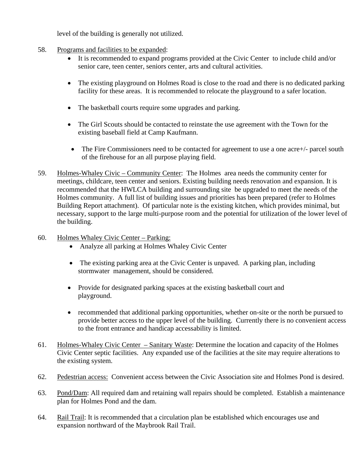level of the building is generally not utilized.

- 58. Programs and facilities to be expanded:
	- It is recommended to expand programs provided at the Civic Center to include child and/or senior care, teen center, seniors center, arts and cultural activities.
	- The existing playground on Holmes Road is close to the road and there is no dedicated parking facility for these areas. It is recommended to relocate the playground to a safer location.
	- The basketball courts require some upgrades and parking.
	- The Girl Scouts should be contacted to reinstate the use agreement with the Town for the existing baseball field at Camp Kaufmann.
	- The Fire Commissioners need to be contacted for agreement to use a one acre+/- parcel south of the firehouse for an all purpose playing field.
- 59. Holmes-Whaley Civic Community Center: The Holmes area needs the community center for meetings, childcare, teen center and seniors. Existing building needs renovation and expansion. It is recommended that the HWLCA building and surrounding site be upgraded to meet the needs of the Holmes community. A full list of building issues and priorities has been prepared (refer to Holmes Building Report attachment). Of particular note is the existing kitchen, which provides minimal, but necessary, support to the large multi-purpose room and the potential for utilization of the lower level of the building.
- 60. Holmes Whaley Civic Center Parking:
	- Analyze all parking at Holmes Whaley Civic Center
	- The existing parking area at the Civic Center is unpaved. A parking plan, including stormwater management, should be considered.
	- Provide for designated parking spaces at the existing basketball court and playground.
	- recommended that additional parking opportunities, whether on-site or the north be pursued to provide better access to the upper level of the building. Currently there is no convenient access to the front entrance and handicap accessability is limited.
- 61. Holmes-Whaley Civic Center Sanitary Waste: Determine the location and capacity of the Holmes Civic Center septic facilities. Any expanded use of the facilities at the site may require alterations to the existing system.
- 62. Pedestrian access: Convenient access between the Civic Association site and Holmes Pond is desired.
- 63. Pond/Dam: All required dam and retaining wall repairs should be completed. Establish a maintenance plan for Holmes Pond and the dam.
- 64. Rail Trail: It is recommended that a circulation plan be established which encourages use and expansion northward of the Maybrook Rail Trail.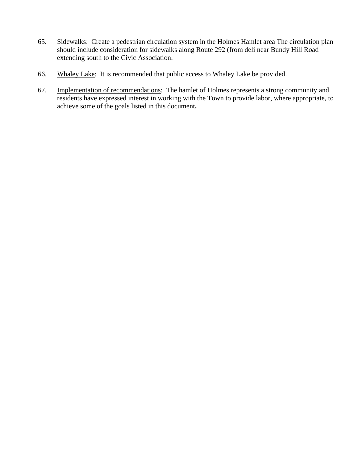- 65. Sidewalks: Create a pedestrian circulation system in the Holmes Hamlet area The circulation plan should include consideration for sidewalks along Route 292 (from deli near Bundy Hill Road extending south to the Civic Association.
- 66. Whaley Lake: It is recommended that public access to Whaley Lake be provided.
- 67. Implementation of recommendations: The hamlet of Holmes represents a strong community and residents have expressed interest in working with the Town to provide labor, where appropriate, to achieve some of the goals listed in this document**.**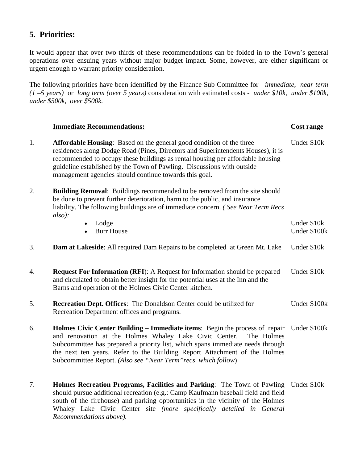# **5. Priorities:**

It would appear that over two thirds of these recommendations can be folded in to the Town's general operations over ensuing years without major budget impact. Some, however, are either significant or urgent enough to warrant priority consideration.

The following priorities have been identified by the Finance Sub Committee for *immediate*, *near term (1 –5 years)* or *long term (over 5 years)* consideration with estimated costs - *under \$10k*, *under \$100k*, *under \$500k*, *over \$500k.*

## **Immediate Recommendations: Cost range**

| 1. | <b>Affordable Housing:</b> Based on the general good condition of the three<br>residences along Dodge Road (Pines, Directors and Superintendents Houses), it is<br>recommended to occupy these buildings as rental housing per affordable housing<br>guideline established by the Town of Pawling. Discussions with outside<br>management agencies should continue towards this goal.            |                             |
|----|--------------------------------------------------------------------------------------------------------------------------------------------------------------------------------------------------------------------------------------------------------------------------------------------------------------------------------------------------------------------------------------------------|-----------------------------|
| 2. | Building Removal: Buildings recommended to be removed from the site should<br>be done to prevent further deterioration, harm to the public, and insurance<br>liability. The following buildings are of immediate concern. (See Near Term Recs<br>also):                                                                                                                                          |                             |
|    | Lodge<br><b>Burr House</b>                                                                                                                                                                                                                                                                                                                                                                       | Under \$10k<br>Under \$100k |
| 3. | <b>Dam at Lakeside:</b> All required Dam Repairs to be completed at Green Mt. Lake                                                                                                                                                                                                                                                                                                               | Under \$10k                 |
| 4. | <b>Request For Information (RFI):</b> A Request for Information should be prepared<br>and circulated to obtain better insight for the potential uses at the Inn and the<br>Barns and operation of the Holmes Civic Center kitchen.                                                                                                                                                               | Under \$10k                 |
| 5. | <b>Recreation Dept. Offices:</b> The Donaldson Center could be utilized for<br>Recreation Department offices and programs.                                                                                                                                                                                                                                                                       | Under \$100k                |
| 6. | Holmes Civic Center Building – Immediate items: Begin the process of repair Under \$100k<br>and renovation at the Holmes Whaley Lake Civic Center.<br>The Holmes<br>Subcommittee has prepared a priority list, which spans immediate needs through<br>the next ten years. Refer to the Building Report Attachment of the Holmes<br>Subcommittee Report. (Also see "Near Term" recs which follow) |                             |
| 7. | Holmes Recreation Programs, Facilities and Parking: The Town of Pawling<br>should pursue additional recreation (e.g.: Camp Kaufmann baseball field and field<br>south of the firehouse) and parking opportunities in the vicinity of the Holmes<br>Whaley Lake Civic Center site (more specifically detailed in General<br>Recommendations above).                                               | Under \$10k                 |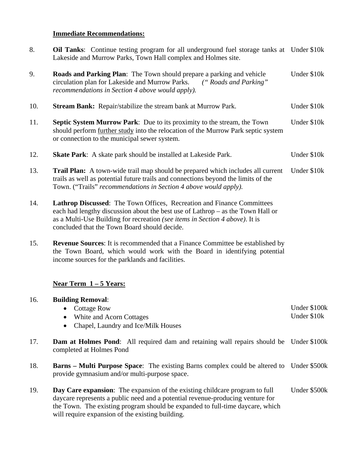# **Immediate Recommendations:**

| 8.  | <b>Oil Tanks:</b> Continue testing program for all underground fuel storage tanks at Under \$10k<br>Lakeside and Murrow Parks, Town Hall complex and Holmes site.                                                                                                                                         |                             |  |
|-----|-----------------------------------------------------------------------------------------------------------------------------------------------------------------------------------------------------------------------------------------------------------------------------------------------------------|-----------------------------|--|
| 9.  | Roads and Parking Plan: The Town should prepare a parking and vehicle<br>circulation plan for Lakeside and Murrow Parks.<br>("Roads and Parking"<br>recommendations in Section 4 above would apply).                                                                                                      | Under \$10k                 |  |
| 10. | <b>Stream Bank:</b> Repair/stabilize the stream bank at Murrow Park.                                                                                                                                                                                                                                      | Under \$10k                 |  |
| 11. | Septic System Murrow Park: Due to its proximity to the stream, the Town<br>should perform further study into the relocation of the Murrow Park septic system<br>or connection to the municipal sewer system.                                                                                              |                             |  |
| 12. | <b>Skate Park:</b> A skate park should be installed at Lakeside Park.                                                                                                                                                                                                                                     | Under \$10k                 |  |
| 13. | Trail Plan: A town-wide trail map should be prepared which includes all current<br>trails as well as potential future trails and connections beyond the limits of the<br>Town. ("Trails" recommendations in Section 4 above would apply).                                                                 | Under \$10k                 |  |
| 14. | Lathrop Discussed: The Town Offices, Recreation and Finance Committees<br>each had lengthy discussion about the best use of Lathrop - as the Town Hall or<br>as a Multi-Use Building for recreation (see items in Section 4 above). It is<br>concluded that the Town Board should decide.                 |                             |  |
| 15. | <b>Revenue Sources:</b> It is recommended that a Finance Committee be established by<br>the Town Board, which would work with the Board in identifying potential<br>income sources for the parklands and facilities.                                                                                      |                             |  |
|     | <u>Near Term 1 – 5 Years:</u>                                                                                                                                                                                                                                                                             |                             |  |
| 16. | <b>Building Removal:</b><br>Cottage Row<br>White and Acorn Cottages<br>Chapel, Laundry and Ice/Milk Houses                                                                                                                                                                                                | Under \$100k<br>Under \$10k |  |
| 17. | <b>Dam at Holmes Pond:</b> All required dam and retaining wall repairs should be Under \$100k<br>completed at Holmes Pond                                                                                                                                                                                 |                             |  |
| 18. | <b>Barns – Multi Purpose Space:</b> The existing Barns complex could be altered to Under \$500k<br>provide gymnasium and/or multi-purpose space.                                                                                                                                                          |                             |  |
| 19. | <b>Day Care expansion:</b> The expansion of the existing childcare program to full<br>daycare represents a public need and a potential revenue-producing venture for<br>the Town. The existing program should be expanded to full-time daycare, which<br>will require expansion of the existing building. | Under \$500k                |  |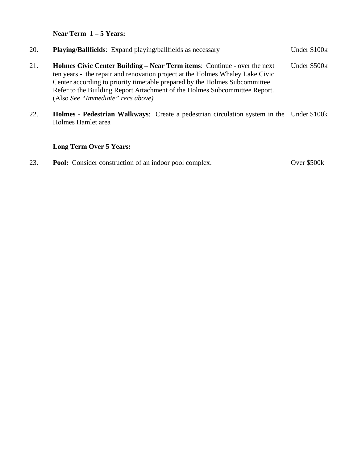# **Near Term 1 – 5 Years:**

| 20. | <b>Playing/Ballfields:</b> Expand playing/ballfields as necessary                                                                                                                                                                                                                                                                                                   | Under \$100k |
|-----|---------------------------------------------------------------------------------------------------------------------------------------------------------------------------------------------------------------------------------------------------------------------------------------------------------------------------------------------------------------------|--------------|
| 21. | <b>Holmes Civic Center Building – Near Term items: Continue - over the next</b><br>ten years - the repair and renovation project at the Holmes Whaley Lake Civic<br>Center according to priority timetable prepared by the Holmes Subcommittee.<br>Refer to the Building Report Attachment of the Holmes Subcommittee Report.<br>(Also See "Immediate" recs above). | Under \$500k |

22. **Holmes - Pedestrian Walkways**: Create a pedestrian circulation system in the Under \$100k Holmes Hamlet area

# **Long Term Over 5 Years:**

23. **Pool:** Consider construction of an indoor pool complex. Over \$500k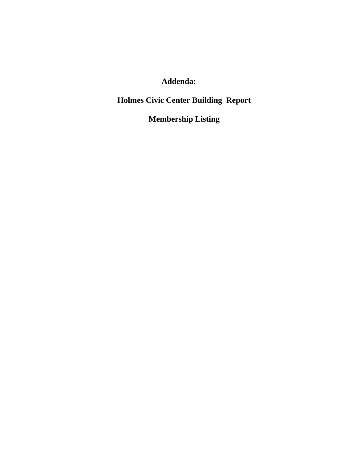# **Addenda:**

# **Holmes Civic Center Building Report**

# **Membership Listing**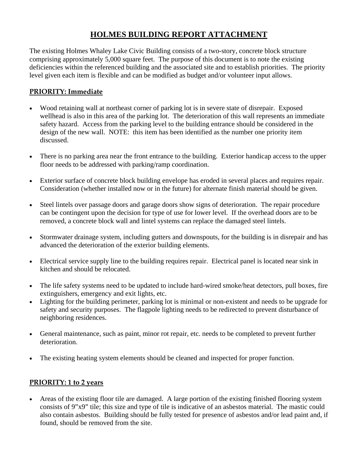# **HOLMES BUILDING REPORT ATTACHMENT**

The existing Holmes Whaley Lake Civic Building consists of a two-story, concrete block structure comprising approximately 5,000 square feet. The purpose of this document is to note the existing deficiencies within the referenced building and the associated site and to establish priorities. The priority level given each item is flexible and can be modified as budget and/or volunteer input allows.

# **PRIORITY: Immediate**

- Wood retaining wall at northeast corner of parking lot is in severe state of disrepair. Exposed wellhead is also in this area of the parking lot. The deterioration of this wall represents an immediate safety hazard. Access from the parking level to the building entrance should be considered in the design of the new wall. NOTE: this item has been identified as the number one priority item discussed.
- There is no parking area near the front entrance to the building. Exterior handicap access to the upper floor needs to be addressed with parking/ramp coordination.
- Exterior surface of concrete block building envelope has eroded in several places and requires repair. Consideration (whether installed now or in the future) for alternate finish material should be given.
- Steel lintels over passage doors and garage doors show signs of deterioration. The repair procedure can be contingent upon the decision for type of use for lower level. If the overhead doors are to be removed, a concrete block wall and lintel systems can replace the damaged steel lintels.
- Stormwater drainage system, including gutters and downspouts, for the building is in disrepair and has advanced the deterioration of the exterior building elements.
- Electrical service supply line to the building requires repair. Electrical panel is located near sink in kitchen and should be relocated.
- The life safety systems need to be updated to include hard-wired smoke/heat detectors, pull boxes, fire extinguishers, emergency and exit lights, etc.
- Lighting for the building perimeter, parking lot is minimal or non-existent and needs to be upgrade for safety and security purposes. The flagpole lighting needs to be redirected to prevent disturbance of neighboring residences.
- General maintenance, such as paint, minor rot repair, etc. needs to be completed to prevent further deterioration.
- The existing heating system elements should be cleaned and inspected for proper function.

# **PRIORITY: 1 to 2 years**

• Areas of the existing floor tile are damaged. A large portion of the existing finished flooring system consists of 9"x9" tile; this size and type of tile is indicative of an asbestos material. The mastic could also contain asbestos. Building should be fully tested for presence of asbestos and/or lead paint and, if found, should be removed from the site.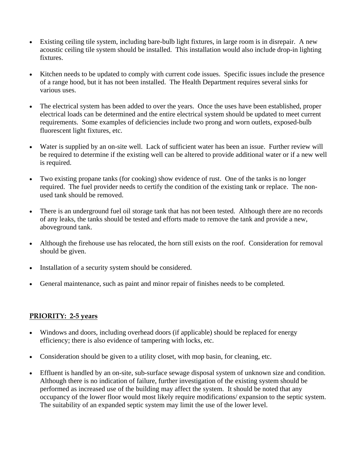- Existing ceiling tile system, including bare-bulb light fixtures, in large room is in disrepair. A new acoustic ceiling tile system should be installed. This installation would also include drop-in lighting fixtures.
- Kitchen needs to be updated to comply with current code issues. Specific issues include the presence of a range hood, but it has not been installed. The Health Department requires several sinks for various uses.
- The electrical system has been added to over the years. Once the uses have been established, proper electrical loads can be determined and the entire electrical system should be updated to meet current requirements. Some examples of deficiencies include two prong and worn outlets, exposed-bulb fluorescent light fixtures, etc.
- Water is supplied by an on-site well. Lack of sufficient water has been an issue. Further review will be required to determine if the existing well can be altered to provide additional water or if a new well is required.
- Two existing propane tanks (for cooking) show evidence of rust. One of the tanks is no longer required. The fuel provider needs to certify the condition of the existing tank or replace. The nonused tank should be removed.
- There is an underground fuel oil storage tank that has not been tested. Although there are no records of any leaks, the tanks should be tested and efforts made to remove the tank and provide a new, aboveground tank.
- Although the firehouse use has relocated, the horn still exists on the roof. Consideration for removal should be given.
- Installation of a security system should be considered.
- General maintenance, such as paint and minor repair of finishes needs to be completed.

## **PRIORITY: 2-5 years**

- Windows and doors, including overhead doors (if applicable) should be replaced for energy efficiency; there is also evidence of tampering with locks, etc.
- Consideration should be given to a utility closet, with mop basin, for cleaning, etc.
- Effluent is handled by an on-site, sub-surface sewage disposal system of unknown size and condition. Although there is no indication of failure, further investigation of the existing system should be performed as increased use of the building may affect the system. It should be noted that any occupancy of the lower floor would most likely require modifications/ expansion to the septic system. The suitability of an expanded septic system may limit the use of the lower level.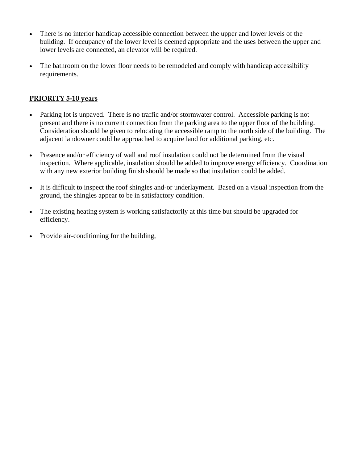- There is no interior handicap accessible connection between the upper and lower levels of the building. If occupancy of the lower level is deemed appropriate and the uses between the upper and lower levels are connected, an elevator will be required.
- The bathroom on the lower floor needs to be remodeled and comply with handicap accessibility requirements.

# **PRIORITY 5-10 years**

- Parking lot is unpaved. There is no traffic and/or stormwater control. Accessible parking is not present and there is no current connection from the parking area to the upper floor of the building. Consideration should be given to relocating the accessible ramp to the north side of the building. The adjacent landowner could be approached to acquire land for additional parking, etc.
- Presence and/or efficiency of wall and roof insulation could not be determined from the visual inspection. Where applicable, insulation should be added to improve energy efficiency. Coordination with any new exterior building finish should be made so that insulation could be added.
- It is difficult to inspect the roof shingles and-or underlayment. Based on a visual inspection from the ground, the shingles appear to be in satisfactory condition.
- The existing heating system is working satisfactorily at this time but should be upgraded for efficiency.
- Provide air-conditioning for the building,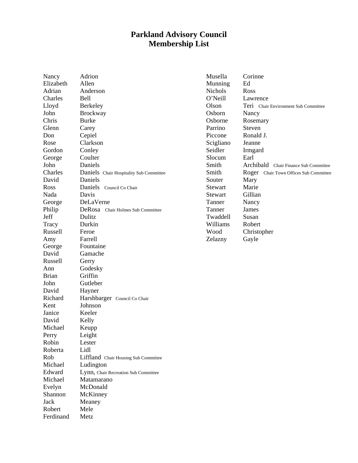# **Parkland Advisory Council Membership List**

|                    | Adrion                                  | Musella   | Corinne                                |
|--------------------|-----------------------------------------|-----------|----------------------------------------|
| Nancy<br>Elizabeth | Allen                                   | Munning   | Ed                                     |
| Adrian             | Anderson                                | Nichols   | Ross                                   |
|                    |                                         |           |                                        |
| Charles            | <b>Bell</b>                             | O'Neill   | Lawrence                               |
| Lloyd              | <b>Berkeley</b>                         | Olson     | Teri Chair Environment Sub Committee   |
| John               | <b>Brockway</b>                         | Osborn    | Nancy                                  |
| Chris              | <b>Burke</b>                            | Osborne   | Rosemary                               |
| Glenn              | Carey                                   | Parrino   | Steven                                 |
| Don                | Cepiel                                  | Piccone   | Ronald J.                              |
| Rose               | Clarkson                                | Scigliano | Jeanne                                 |
| Gordon             | Conley                                  | Seidler   | Irmgard                                |
| George             | Coulter                                 | Slocum    | Earl                                   |
| John               | Daniels                                 | Smith     | Archibald Chair Finance Sub Committee  |
| Charles            | Daniels Chair Hospitality Sub Committee | Smith     | Roger Chair Town Offices Sub Committee |
| David              | Daniels                                 | Souter    | Mary                                   |
| Ross               | Daniels Council Co Chair                | Stewart   | Marie                                  |
| Nada               | Davis                                   | Stewart   | Gillian                                |
| George             | DeLaVerne                               | Tanner    | Nancy                                  |
| Philip             | DeRosa Chair Holmes Sub Committee       | Tanner    | James                                  |
| Jeff               | Dulitz                                  | Twaddell  | Susan                                  |
| Tracy              | Durkin                                  | Williams  | Robert                                 |
| Russell            | Feroe                                   | Wood      | Christopher                            |
| Amy                | Farrell                                 | Zelazny   | Gayle                                  |
| George             | Fountaine                               |           |                                        |
| David              | Gamache                                 |           |                                        |
| Russell            | Gerry                                   |           |                                        |
| Ann                | Godesky                                 |           |                                        |
| <b>Brian</b>       | Griffin                                 |           |                                        |
|                    | Gutleber                                |           |                                        |
| John               |                                         |           |                                        |
| David              | Hayner                                  |           |                                        |
| Richard            | Harshbarger Council Co Chair            |           |                                        |
| Kent               | Johnson                                 |           |                                        |
| Janice             | Keeler                                  |           |                                        |
| David              | Kelly                                   |           |                                        |
| Michael            | Keupp                                   |           |                                        |
| Perry              | Leight                                  |           |                                        |
| Robin              | Lester                                  |           |                                        |
| Roberta            | Lidl                                    |           |                                        |
| Rob                | Liffland Chair Housing Sub Committee    |           |                                        |
| Michael            | Ludington                               |           |                                        |
| Edward             | Lynn, Chair Recreation Sub Committee    |           |                                        |
| Michael            | Matamarano                              |           |                                        |
| Evelyn             | McDonald                                |           |                                        |
| Shannon            | McKinney                                |           |                                        |
| Jack               | Meaney                                  |           |                                        |

Robert Mele Ferdinand Metz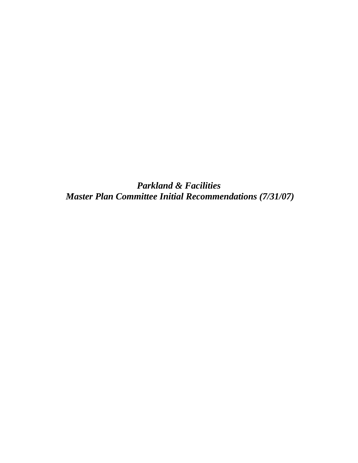*Parkland & Facilities Master Plan Committee Initial Recommendations (7/31/07)*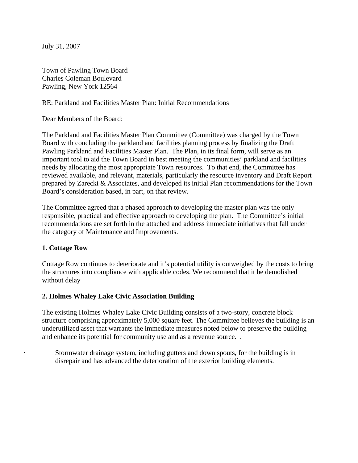July 31, 2007

Town of Pawling Town Board Charles Coleman Boulevard Pawling, New York 12564

RE: Parkland and Facilities Master Plan: Initial Recommendations

Dear Members of the Board:

The Parkland and Facilities Master Plan Committee (Committee) was charged by the Town Board with concluding the parkland and facilities planning process by finalizing the Draft Pawling Parkland and Facilities Master Plan. The Plan, in its final form, will serve as an important tool to aid the Town Board in best meeting the communities' parkland and facilities needs by allocating the most appropriate Town resources. To that end, the Committee has reviewed available, and relevant, materials, particularly the resource inventory and Draft Report prepared by Zarecki & Associates, and developed its initial Plan recommendations for the Town Board's consideration based, in part, on that review.

The Committee agreed that a phased approach to developing the master plan was the only responsible, practical and effective approach to developing the plan. The Committee's initial recommendations are set forth in the attached and address immediate initiatives that fall under the category of Maintenance and Improvements.

#### **1. Cottage Row**

Cottage Row continues to deteriorate and it's potential utility is outweighed by the costs to bring the structures into compliance with applicable codes. We recommend that it be demolished without delay

#### **2. Holmes Whaley Lake Civic Association Building**

The existing Holmes Whaley Lake Civic Building consists of a two-story, concrete block structure comprising approximately 5,000 square feet. The Committee believes the building is an underutilized asset that warrants the immediate measures noted below to preserve the building and enhance its potential for community use and as a revenue source. .

Stormwater drainage system, including gutters and down spouts, for the building is in disrepair and has advanced the deterioration of the exterior building elements.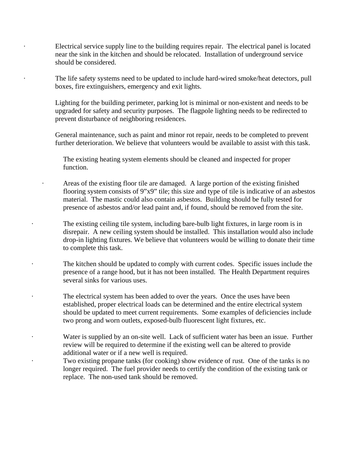Electrical service supply line to the building requires repair. The electrical panel is located near the sink in the kitchen and should be relocated. Installation of underground service should be considered.

The life safety systems need to be updated to include hard-wired smoke/heat detectors, pull boxes, fire extinguishers, emergency and exit lights.

Lighting for the building perimeter, parking lot is minimal or non-existent and needs to be upgraded for safety and security purposes. The flagpole lighting needs to be redirected to prevent disturbance of neighboring residences.

General maintenance, such as paint and minor rot repair, needs to be completed to prevent further deterioration. We believe that volunteers would be available to assist with this task.

The existing heating system elements should be cleaned and inspected for proper function.

· Areas of the existing floor tile are damaged. A large portion of the existing finished flooring system consists of 9"x9" tile; this size and type of tile is indicative of an asbestos material. The mastic could also contain asbestos. Building should be fully tested for presence of asbestos and/or lead paint and, if found, should be removed from the site.

The existing ceiling tile system, including bare-bulb light fixtures, in large room is in disrepair. A new ceiling system should be installed. This installation would also include drop-in lighting fixtures. We believe that volunteers would be willing to donate their time to complete this task.

The kitchen should be updated to comply with current codes. Specific issues include the presence of a range hood, but it has not been installed. The Health Department requires several sinks for various uses.

The electrical system has been added to over the years. Once the uses have been established, proper electrical loads can be determined and the entire electrical system should be updated to meet current requirements. Some examples of deficiencies include two prong and worn outlets, exposed-bulb fluorescent light fixtures, etc.

Water is supplied by an on-site well. Lack of sufficient water has been an issue. Further review will be required to determine if the existing well can be altered to provide additional water or if a new well is required.

Two existing propane tanks (for cooking) show evidence of rust. One of the tanks is no longer required. The fuel provider needs to certify the condition of the existing tank or replace. The non-used tank should be removed.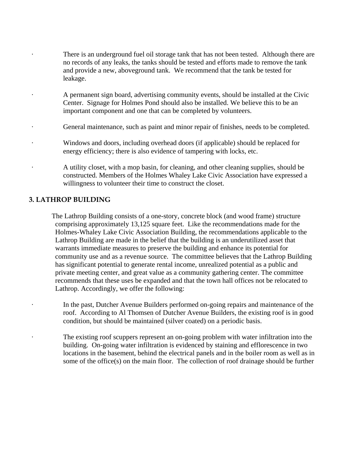- There is an underground fuel oil storage tank that has not been tested. Although there are no records of any leaks, the tanks should be tested and efforts made to remove the tank and provide a new, aboveground tank. We recommend that the tank be tested for leakage.
- · A permanent sign board, advertising community events, should be installed at the Civic Center. Signage for Holmes Pond should also be installed. We believe this to be an important component and one that can be completed by volunteers.
- General maintenance, such as paint and minor repair of finishes, needs to be completed.
- · Windows and doors, including overhead doors (if applicable) should be replaced for energy efficiency; there is also evidence of tampering with locks, etc.
- · A utility closet, with a mop basin, for cleaning, and other cleaning supplies, should be constructed. Members of the Holmes Whaley Lake Civic Association have expressed a willingness to volunteer their time to construct the closet.

## **3. LATHROP BUILDING**

 The Lathrop Building consists of a one-story, concrete block (and wood frame) structure comprising approximately 13,125 square feet. Like the recommendations made for the Holmes-Whaley Lake Civic Association Building, the recommendations applicable to the Lathrop Building are made in the belief that the building is an underutilized asset that warrants immediate measures to preserve the building and enhance its potential for community use and as a revenue source. The committee believes that the Lathrop Building has significant potential to generate rental income, unrealized potential as a public and private meeting center, and great value as a community gathering center. The committee recommends that these uses be expanded and that the town hall offices not be relocated to Lathrop. Accordingly, we offer the following:

- In the past, Dutcher Avenue Builders performed on-going repairs and maintenance of the roof. According to Al Thomsen of Dutcher Avenue Builders, the existing roof is in good condition, but should be maintained (silver coated) on a periodic basis.
- The existing roof scuppers represent an on-going problem with water infiltration into the building. On-going water infiltration is evidenced by staining and efflorescence in two locations in the basement, behind the electrical panels and in the boiler room as well as in some of the office(s) on the main floor. The collection of roof drainage should be further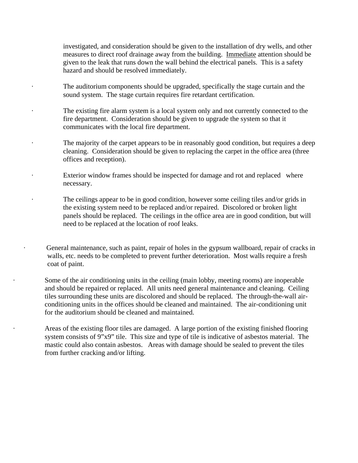investigated, and consideration should be given to the installation of dry wells, and other measures to direct roof drainage away from the building. Immediate attention should be given to the leak that runs down the wall behind the electrical panels. This is a safety hazard and should be resolved immediately.

- The auditorium components should be upgraded, specifically the stage curtain and the sound system. The stage curtain requires fire retardant certification.
- The existing fire alarm system is a local system only and not currently connected to the fire department. Consideration should be given to upgrade the system so that it communicates with the local fire department.
- The majority of the carpet appears to be in reasonably good condition, but requires a deep cleaning. Consideration should be given to replacing the carpet in the office area (three offices and reception).
- Exterior window frames should be inspected for damage and rot and replaced where necessary.
- The ceilings appear to be in good condition, however some ceiling tiles and/or grids in the existing system need to be replaced and/or repaired. Discolored or broken light panels should be replaced. The ceilings in the office area are in good condition, but will need to be replaced at the location of roof leaks.

General maintenance, such as paint, repair of holes in the gypsum wallboard, repair of cracks in walls, etc. needs to be completed to prevent further deterioration. Most walls require a fresh coat of paint.

Some of the air conditioning units in the ceiling (main lobby, meeting rooms) are inoperable and should be repaired or replaced. All units need general maintenance and cleaning. Ceiling tiles surrounding these units are discolored and should be replaced. The through-the-wall airconditioning units in the offices should be cleaned and maintained. The air-conditioning unit for the auditorium should be cleaned and maintained.

Areas of the existing floor tiles are damaged. A large portion of the existing finished flooring system consists of 9"x9" tile. This size and type of tile is indicative of asbestos material. The mastic could also contain asbestos. Areas with damage should be sealed to prevent the tiles from further cracking and/or lifting.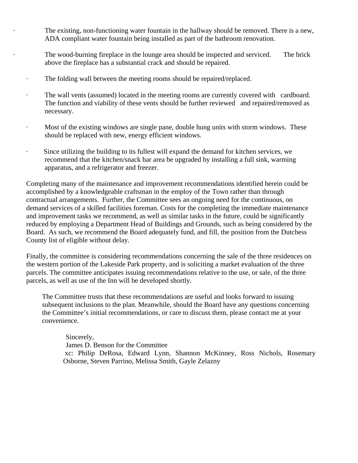The existing, non-functioning water fountain in the hallway should be removed. There is a new, ADA compliant water fountain being installed as part of the bathroom renovation.

The wood-burning fireplace in the lounge area should be inspected and serviced. The brick above the fireplace has a substantial crack and should be repaired.

- · The folding wall between the meeting rooms should be repaired/replaced.
- · The wall vents (assumed) located in the meeting rooms are currently covered with cardboard. The function and viability of these vents should be further reviewed and repaired/removed as necessary.
- · Most of the existing windows are single pane, double hung units with storm windows. These should be replaced with new, energy efficient windows.
- · Since utilizing the building to its fullest will expand the demand for kitchen services, we recommend that the kitchen/snack bar area be upgraded by installing a full sink, warming apparatus, and a refrigerator and freezer.

Completing many of the maintenance and improvement recommendations identified herein could be accomplished by a knowledgeable craftsman in the employ of the Town rather than through contractual arrangements. Further, the Committee sees an ongoing need for the continuous, on demand services of a skilled facilities foreman. Costs for the completing the immediate maintenance and improvement tasks we recommend, as well as similar tasks in the future, could be significantly reduced by employing a Department Head of Buildings and Grounds, such as being considered by the Board. As such, we recommend the Board adequately fund, and fill, the position from the Dutchess County list of eligible without delay.

Finally, the committee is considering recommendations concerning the sale of the three residences on the western portion of the Lakeside Park property, and is soliciting a market evaluation of the three parcels. The committee anticipates issuing recommendations relative to the use, or sale, of the three parcels, as well as use of the Inn will be developed shortly.

The Committee trusts that these recommendations are useful and looks forward to issuing subsequent inclusions to the plan. Meanwhile, should the Board have any questions concerning the Committee's initial recommendations, or care to discuss them, please contact me at your convenience.

Sincerely, James D. Benson for the Committee xc: Philip DeRosa, Edward Lynn, Shannon McKinney, Ross Nichols, Rosemary Osborne, Steven Parrino, Melissa Smith, Gayle Zelazny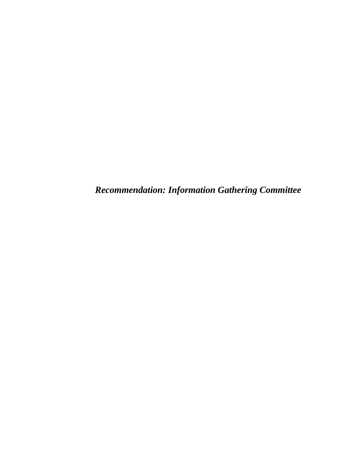*Recommendation: Information Gathering Committee*